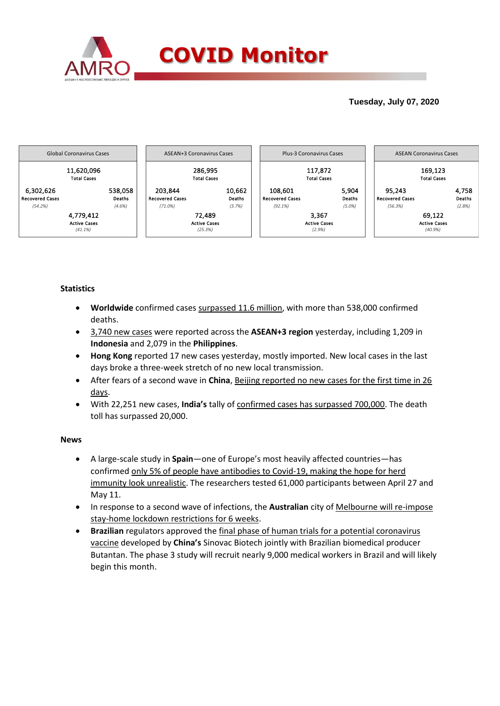

## **Tuesday, July 07, 2020**



### **Statistics**

- **Worldwide** confirmed cases surpassed 11.6 million, with more than 538,000 confirmed deaths.
- 3,740 new cases were reported across the **ASEAN+3 region** yesterday, including 1,209 in **Indonesia** and 2,079 in the **Philippines**.
- **Hong Kong** reported 17 new cases yesterday, mostly imported. New local cases in the last days broke a three-week stretch of no new local transmission.
- After fears of a second wave in **China**, Beijing reported no new cases for the first time in 26 days.
- With 22,251 new cases, **India's** tally of confirmed cases has surpassed 700,000. The death toll has surpassed 20,000.

### **News**

- A large-scale study in **Spain**—one of Europe's most heavily affected countries—has confirmed only 5% of people have antibodies to Covid-19, making the hope for herd immunity look unrealistic. The researchers tested 61,000 participants between April 27 and May 11.
- In response to a second wave of infections, the **Australian** city of Melbourne will re-impose stay-home lockdown restrictions for 6 weeks.
- **Brazilian** regulators approved the final phase of human trials for a potential coronavirus vaccine developed by **China's** Sinovac Biotech jointly with Brazilian biomedical producer Butantan. The phase 3 study will recruit nearly 9,000 medical workers in Brazil and will likely begin this month.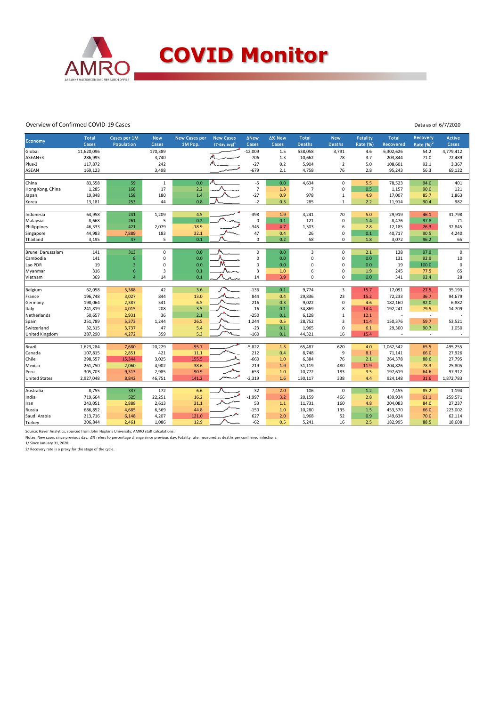

#### Overview of Confirmed COVID-19 Cases

Data as of 6/7/2020

|                       | <b>Total</b> | Cases per 1M            | <b>New</b>  | <b>New Cases per</b> | <b>New Cases</b>            | <b>ANew</b>    | ∆% New     | <b>Total</b>   | <b>New</b>              | Fatality        | <b>Total</b> | <b>Recovery</b>          | <b>Active</b>       |
|-----------------------|--------------|-------------------------|-------------|----------------------|-----------------------------|----------------|------------|----------------|-------------------------|-----------------|--------------|--------------------------|---------------------|
| Economy               | <b>Cases</b> | Population              | Cases       | 1M Pop.              | $(7$ -day avg) <sup>1</sup> | Cases          | Cases      | <b>Deaths</b>  | <b>Deaths</b>           | <b>Rate (%)</b> | Recovered    | Rate $(%)2$              | Cases               |
| Global                | 11,620,096   |                         | 170,389     |                      |                             | $-12,009$      | 1.5        | 538,058        | 3,791                   | 4.6             | 6,302,626    | 54.2                     | 4,779,412           |
| ASEAN+3               | 286,995      |                         | 3,740       |                      |                             | $-706$         | 1.3        | 10,662         | 78                      | 3.7             | 203,844      | 71.0                     | 72,489              |
| Plus-3                | 117,872      |                         | 242         |                      |                             | $-27$          | 0.2        | 5,904          | $\overline{2}$          | 5.0             | 108,601      | 92.1                     | 3,367               |
| <b>ASEAN</b>          | 169,123      |                         | 3,498       |                      |                             | $-679$         | 2.1        | 4,758          | 76                      | 2.8             | 95,243       | 56.3                     | 69,122              |
|                       |              |                         |             |                      |                             |                |            |                |                         |                 |              |                          |                     |
| China                 | 83,558       | 59                      | $\mathbf 1$ | 0.0                  |                             | $-5$           | 0.0        | 4,634          | $\pmb{0}$               | 5.5             | 78,523       | 94.0                     | 401                 |
| Hong Kong, China      | 1,285        | 168                     | 17          | 2.2                  |                             | $\overline{7}$ | 1.3        | $\overline{7}$ | $\mathbf 0$             | 0.5             | 1,157        | 90.0                     | 121                 |
| Japan                 | 19,848       | 158                     | 180         | 1.4                  |                             | $-27$          | 0.9        | 978            | $\mathbf 1$             | 4.9             | 17,007       | 85.7                     | 1,863               |
| Korea                 | 13,181       | 253                     | 44          | 0.8                  |                             | $-2$           | 0.3        | 285            | $\mathbf{1}$            | 2.2             | 11,914       | 90.4                     | 982                 |
| Indonesia             | 64,958       | 241                     | 1,209       | 4.5                  |                             | $-398$         | 1.9        | 3,241          | 70                      | 5.0             | 29,919       | 46.1                     | 31,798              |
| Malaysia              | 8,668        | 261                     | 5           | 0.2                  |                             | $\mathsf 0$    | 0.1        | 121            | $\mathbf 0$             | 1.4             | 8,476        | 97.8                     | 71                  |
| Philippines           | 46,333       | 421                     | 2,079       | 18.9                 |                             | $-345$         | 4.7        | 1,303          | 6                       | 2.8             | 12,185       | 26.3                     | 32,845              |
| Singapore             | 44,983       | 7,889                   | 183         | 32.1                 |                             | 47             | 0.4        | 26             | $\mathbf 0$             | 0.1             | 40,717       | 90.5                     | 4,240               |
| Thailand              | 3,195        | 47                      | 5           | 0.1                  |                             | 0              | 0.2        | 58             | 0                       | 1.8             | 3,072        | 96.2                     | 65                  |
|                       |              |                         |             |                      |                             |                |            |                |                         |                 |              |                          |                     |
| Brunei Darussalam     | 141          | 313                     | $\pmb{0}$   | 0.0                  |                             | $\pmb{0}$      | 0.0        | 3              | 0                       | 2.1             | 138          | 97.9                     | $\mathsf{O}\xspace$ |
| Cambodia              | 141          | $\boldsymbol{8}$        | $\mathbf 0$ | 0.0                  |                             | 0              | 0.0        | $\mathbf 0$    | $\mathbf 0$             | 0.0             | 131          | 92.9                     | 10                  |
| Lao PDR               | 19           | $\overline{\mathbf{3}}$ | 0           | 0.0                  |                             | 0              | 0.0        | $\mathbf 0$    | $\mathbf 0$             | 0.0             | 19           | 100.0                    | $\mathbf 0$         |
| Myanmar               | 316          | 6                       | 3           | 0.1                  | Novn                        | 3              | 1.0        | 6              | $\mathbf 0$             | 1.9             | 245          | 77.5                     | 65                  |
| Vietnam               | 369          | $\overline{4}$          | 14          | 0.1                  |                             | 14             | 3.9        | $\mathbf 0$    | $\mathbf 0$             | 0.0             | 341          | 92.4                     | 28                  |
|                       |              |                         |             |                      |                             |                |            |                |                         |                 |              |                          |                     |
| Belgium               | 62,058       | 5,388                   | 42          | 3.6                  |                             | $-136$         | 0.1        | 9,774          | $\overline{\mathbf{3}}$ | 15.7            | 17,091       | 27.5                     | 35,193              |
| France                | 196,748      | 3,027                   | 844         | 13.0                 |                             | 844            | 0.4        | 29,836         | 23                      | 15.2            | 72,233       | 36.7                     | 94,679              |
| Germany               | 198,064      | 2,387                   | 541         | 6.5                  |                             | 216            | 0.3        | 9,022          | $\mathbf 0$             | 4.6             | 182,160      | 92.0                     | 6,882               |
| Italy                 | 241,819      | 4,015                   | 208         | 3.5                  |                             | 16             | 0.1        | 34,869         | 8                       | 14.4            | 192,241      | 79.5                     | 14,709              |
| Netherlands           | 50,657       | 2,931                   | 36          | 2.1                  |                             | $-250$         | 0.1        | 6,128          | $\mathbf 1$             | 12.1            |              | $\overline{\phantom{a}}$ |                     |
| Spain                 | 251,789      | 5,373                   | 1,244       | 26.5                 |                             | 1,244          | 0.5        | 28,752         | $\overline{\mathbf{3}}$ | 11.4            | 150,376      | 59.7                     | 53,521              |
| Switzerland           | 32,315       | 3,737                   | 47          | 5.4                  |                             | $-23$          | 0.1<br>0.1 | 1,965          | $\mathbf 0$<br>16       | 6.1             | 29,300       | 90.7                     | 1,050               |
| <b>United Kingdom</b> | 287,290      | 4,272                   | 359         | 5.3                  |                             | $-160$         |            | 44,321         |                         | 15.4            |              | $\overline{\phantom{a}}$ |                     |
| Brazil                | 1,623,284    | 7,680                   | 20,229      | 95.7                 |                             | $-5,822$       | 1.3        | 65,487         | 620                     | 4.0             | 1,062,542    | 65.5                     | 495,255             |
| Canada                | 107,815      | 2,851                   | 421         | 11.1                 |                             | 212            | 0.4        | 8,748          | 9                       | 8.1             | 71,141       | 66.0                     | 27,926              |
| Chile                 | 298,557      | 15,344                  | 3,025       | 155.5                |                             | $-660$         | 1.0        | 6,384          | 76                      | 2.1             | 264,378      | 88.6                     | 27,795              |
| Mexico                | 261,750      | 2,060                   | 4,902       | 38.6                 |                             | 219            | 1.9        | 31,119         | 480                     | 11.9            | 204,826      | 78.3                     | 25,805              |
| Peru                  | 305,703      | 9,313                   | 2,985       | 90.9                 |                             | $-653$         | 1.0        | 10,772         | 183                     | 3.5             | 197,619      | 64.6                     | 97,312              |
| <b>United States</b>  | 2,927,048    | 8,842                   | 46,751      | 141.2                |                             | $-2,319$       | 1.6        | 130,117        | 338                     | 4.4             | 924,148      | 31.6                     | 1,872,783           |
|                       |              |                         |             |                      |                             |                |            |                |                         |                 |              |                          |                     |
| Australia             | 8,755        | 337                     | 172         | 6.6                  |                             | 32             | 2.0        | 106            | $\mathbf 0$             | 1.2             | 7,455        | 85.2                     | 1,194               |
| India                 | 719,664      | 525                     | 22,251      | 16.2                 |                             | $-1,997$       | 3.2        | 20,159         | 466                     | 2.8             | 439,934      | 61.1                     | 259,571             |
| Iran                  | 243,051      | 2,888                   | 2,613       | 31.1                 |                             | 53             | 1.1        | 11,731         | 160                     | 4.8             | 204,083      | 84.0                     | 27,237              |
| Russia                | 686,852      | 4,685                   | 6,569       | 44.8                 |                             | $-150$         | 1.0        | 10,280         | 135                     | 1.5             | 453,570      | 66.0                     | 223,002             |
| Saudi Arabia          | 213,716      | 6,148                   | 4,207       | 121.0                |                             | 627            | 2.0        | 1,968          | 52                      | 0.9             | 149,634      | 70.0                     | 62,114              |
| Turkey                | 206,844      | 2,461                   | 1,086       | 12.9                 |                             | $-62$          | 0.5        | 5,241          | 16                      | 2.5             | 182,995      | 88.5                     | 18,608              |

Source: Haver Analytics, sourced from John Hopkins University; AMRO staff calculations.

Notes: New cases since previous day. ∆% refers to percentage change since previous day. Fatality rate measured as deaths per confirmed infections.<br>1/ Since January 31, 2020.<br>2/ Recovery rate is a proxy for the stage of the